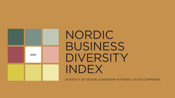

# NORDIC BUSINESS DIVERSITY INDEX

DIVERSITY OF SENIOR LEADERSHIP IN NORDIC LISTED COMPANIES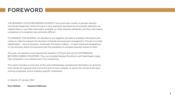### FOREWORD

THE BUSINESS' FOCUS REGARDING DIVERSITY has so far been mostly on gender equality and female leadership. While this issue is very important and deserves all possible attention, we realised there is very little information available on other diversity attributes, and thus, fact-based comparison of companies was extremely difficult.

TO ADDRESS THIS DILEMMA, we decided to put together all publicly available information and create an index to measure the diversity of boards and executive management. The aim is to help stakeholders – such as investors, employees and policy-makers – to have improved transparency on the diversity status of businesses and, the possibility to compare diversity based on facts.

This year, we wanted to look beyond the situation in Finland and see the DIFFERENCES BETWEEN NORDIC COUNTRIES. Thus, we included Nasdaq Stockholm and Copenhagen Large Cap companies in our sample and in the comparison.

This report includes an overview of the used methodology, background information on diversity, main results at a general level and at the level of each variable, as well as the names of the best scoring companies, and an industry-specific comparison.

In Helsinki, 27 January 2021

**Suvi Halttula Susanna Saikkonen**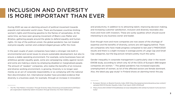### INCLUSION AND DIVERSITY IS MORE IMPORTANT THAN EVER

During 2020 we saw an alarming amount of political movement towards populist and nationalist world views. There are European countries limiting women's rights and throwing gasoline to the flames of xenophobia. At the same time, we have seen growing movement of Black Lives Matter and #metoo, gathering people around the globe to defend equality and human rights. On top of the political unrest, the global pandemic has not treated everyone equally: women and underprivileged groups suffer the most.

In the past couple of years companies have taken a stronger role both in environmental and social issues to ensure sustainable development, but also to ensure a stable operating environment. For example, some businesses have set ambitious gender equality goals, some are campaigning visibly against racism and some are making a stand, by employing disabled or marginalised people. The amount of "awaken" companies, who realise the benefits of an inclusive and diverse working environment, is growing. Diversity is no longer seen merely as an act of corporate responsibility or as complying with the national Non-discrimination Act. International studies<sup>1</sup> have provided evidence that diversity is a business asset, for example, through an increase in innovation

and productivity. In addition to to attracting talent, improving decision making, and increasing customer satisfaction, inclusion and diversity resonates also more and more with investors. These are surely qualities which should sound interesting to any business owner and leader.

Even though more and more companies are now aware of the shortage of expertise and the benefits of diversity, actions are still lagging behind. There are companies who have made progress compared to last year's FINDIX2020 results and there is a slight increase in average points of Large Cap and Small Cap categories, but the big picture remains pretty much the same.

Gender inequality in corporate management is particularly clear in the recent EWOB study, according to which only 42 of the CEOs of Europe's 668 largest companies are women. 2. The global pandemic has increased especially unemployment of women, as lot of the affected sectors are female dominant. Also, the latest pay gap study<sup>3</sup> in Finland shows an alarming trend: the pay

<sup>1</sup> The Mix That Matters: Innovation Through Diversity https://www.bcg.com/publications/2017/people-organization-leadership-talent-innovation-through-diversity-mix-that-matters.aspx

<sup>2</sup> European Women on Boards Diversity Index 2020 https://europeanwomenonboards.eu/wp-content/ uploads/2021/01/Gender-Equality-Index-Final-report-2020-210120.pdf

<sup>3</sup> https://www.sttk.fi/2020/11/01/palkkatasa-arvossa-takapakkia-sttk-esittaa-hyvityksiin-tuntuvaa-korotusta/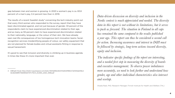gap between men and women is growing. In 2020 a woman's pay is ca. 83.8 percent of a man's pay, 0.4 percent less than in 2019.

The results of a recent Swedish study<sup>4</sup> concerning the tech industry point out that every third woman who responded to the survey, report that they have been discriminated against, and not just because of gender. 33 percent of the respondents claim to have experienced discrimination related to their age, and as many as 59 percent claim to have experienced discrimination related to their nationality, language, or the colour of their skin. We have already seen real-life consequences of too homogenous tech innovation teams: facialrecognition services misidentifying people of colour, car safety equipment that are not planned for female bodies and virtual assistants flirting in response to sexual harassment.

It's good to see that inclusion and diversity is climbing up in business agenda. In times like these it's more important than ever.

*Data-driven discussion on diversity and inclusion in the Nordic context is much appreciated and needed. The diversity data in this report is not without its limitations, but it serves to push us forward. The situation in Finland in all caps has remained the same compared to the results published a year ago. This report can thus be considered a second call for action. Increasing awareness and interest in D&I must be followed by strategic, long-term actions toward diversity, equity and inclusion.*

*The indicator specific findings of the report are interesting, and a needed first step in measuring the diversity of boards and executive management. To observe power imbalances more accurately, we need to look further and understand how gender, age and other individual characteristics also intersect and overlap.*

Shadia Rask, PhD, Research Manager, Finnish Institute for Health and Welfare (THL)

<sup>4</sup> AllBright Study https://static1.squarespace.com/static/5501a836e4b0472e6124f984/t/5ef325ab518cd-32c6b5589ff/1592993207371/TECH\_DUDES\_2020\_WEB.pdf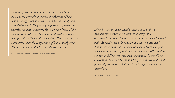*In recent years, many international investors have begun to increasingly appreciate the diversity of both senior management and boards. On the one hand, this is probably due to the growing importance of responsible investing in many countries. But also experiences of the usefulness of different educational and work experience backgrounds in the board composition. This report nicely summarizes how the composition of boards in different Nordic countries and different industries varies.*

Hanna Kaskela, Director, Responsible Investment, Varma

*Diversity and inclusion should always start at the top, and this report gives us an interesting insight into the current situation. It clearly shows that we are on the right path. At Nordea we acknowledge that our organisation is diverse, but also that this is a continuous improvement path. We know that diversity and inclusion make us better, both in our aim to deliver great customer experiences, in our efforts to create the best workplaces and long term to deliver the best financial performance. A diversity of thoughts is crucial to succeeding.*

Frank Vang-Jensen, CEO, Nordea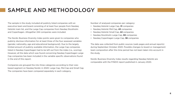## SAMPLE AND METHODOLOGY

The sample in the study included all publicly listed companies with an executive team and board consisting of at least four people from Nasdaq Helsinki main list, and the Large Cap companies from Nasdaq Stockholm and Copenhagen. Altogether 244 companies were included.

The Nordic Business Diversity Index points were given to companies who publicly disclose information for at least three of the four assessed variables (gender, nationality, age and educational background). Due to the largely limited amount of publicly available information, the Large Cap companies listed in Nasdaq Copenhagen had to be left out from the index (i.e., scoring). However, all the data which was found concerning Nasdaq Copenhagen Large Cap companies has been included in the variable specific observations found in the end of this report.

Companies are grouped the into three categories according to their sizebased segment on Nasdaq Nordic in 2020: Large Cap, Mid Cap and Small Cap. The companies have been compared separately in each category.

Number of analysed companies per category:

- Nasdaq Helsinki Large Cap, **31** companies
- Nasdaq Helsinki Mid Cap, **43** companies
- Nasdaq Helsinki Small Cap, **42** companies
- Nasdaq Stockholm Large Cap, **90** companies
- Nasdaq Copenhagen Large Cap, **38** companies

The data was collected from public sources (web pages and annual reports) during September-October 2020. Possible changes to board or management team composition after this time period has not been taken into account in the study.

Nordic Business Diversity Index results regarding Nasdaq Helsinki are comparable with the FINDIX report published in January 2020.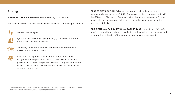#### Scoring

**MAXIMUM SCORE = 100** (50 for executive team, 50 for board)

The score is divided between four variables with max. 12.5 points per variable<sup>5</sup>



Gender – equality goal



Age – number of different age groups (by decade) in proportion to the size of the executive team



Nationality – number of different nationalities in proportion to the size of the executive team



Educational background – number of different educational backgrounds in proportion to the size of the executive team. All qualifications found in the publicly available Company information has been marked for the Board and executive team members and considered in the data.

**GENDER DISTRIBUTION:** full points are awarded when the percentual distribution by gender is at 40–60%. Companies received two bonus points if the CEO or the Chair of the Board was a female and one bonus point for each female with business responsibility on the executive team or for being the Vice-chair of the Board.

**AGE, NATIONALITY, EDUCATIONAL BACKGROUND:** we defined a "*diversity ratio*": the more there is diversity in addition to the most common variable and in proportion to the size of the group, the more points are awarded.

<sup>5</sup> The variables are based on the recommendations in the Corporate Governance Code of the Finnish Securities Market Association (2020) 8 regarding the principles of diversity.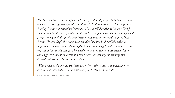*Nasdaq's purpose is to champion inclusive growth and prosperity to power stronger economies. Since gender equality and diversity lead to more successful companies, Nasdaq Nordic announced in December 2020 a collaboration with the Allbright Foundation to advance equality and diversity in corporate boards and management groups among both the public and private companies in the Nordic region. The Nordic Venture Capital Associations are also involved in the collaboration to improve awareness around the benefits of diversity among private companies. It is important that companies gain knowledge on how to combat unconscious biases, challenge recruitment processes and learn why transparency on equality and diversity efforts is important to investors.*

*What comes to the Nordic Business Diversity study results, it is interesting see how close the diversity scores are especially in Finland and Sweden.*

Henrik Husman, President, Nasdaq Helsinki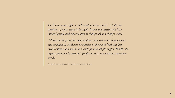*Do I want to be right or do I want to become wiser? That's the question. If I just want to be right, I surround myself with likeminded people and expect others to change when a change is due.*

*Much can be gained by organizations that seek more diverse views and experiences. A diverse perspective at the board level can help organizations understand the world from multiple angles. It helps the organization not to miss out specific market, business and consumer trends.*

Anneli Karlstedt, Head of Inclusion and Diversity, Nokia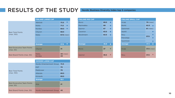## RESULTS OF THE STUDY Nordic Business Diversity Index top 5 companies

|                                                 | <b>FINLAND LARGE CAP</b> |                       | <b>FINLAND MID CAP</b> |      |                          | <b>FINLAND SMALL CAP</b> |                   |               |
|-------------------------------------------------|--------------------------|-----------------------|------------------------|------|--------------------------|--------------------------|-------------------|---------------|
|                                                 | Wärtsilä                 | $73.5$ 1              | Rovio                  | 69.5 | $\overline{\phantom{a}}$ | Incap                    | <b>70</b> (new)   |               |
|                                                 | Nokia                    | 71.5 $+$              | Marimekko              | 69   |                          | <b>Biohit</b>            | 62.5 $+$          |               |
|                                                 | Nordea                   | 69.5 $\uparrow$       | Uponor                 | 67   |                          | Optomed                  | $61$ (new)        |               |
| <b>Best Total Points</b>                        | Citycon                  | 68.5                  | Caverion               | 63.5 |                          | Apetit                   |                   |               |
| (max. 100)                                      | <b>Neles</b>             | <b>67.5</b> (new)     | <b>Stockmann</b>       | 63.5 | ਢ                        | <b>Nixu</b>              |                   | $\ddotmark$   |
|                                                 |                          |                       |                        |      |                          | Panostaja                | 57.5              |               |
|                                                 |                          |                       |                        |      |                          | Suominen                 |                   |               |
|                                                 | <b>Average</b>           | $57.8$ $\uparrow$     | <b>Average</b>         | 48.8 |                          | <b>Average</b>           | 47.3 $\uparrow$   |               |
| <b>Best Excecutive Team Points</b><br>(max. 50) | Citycon                  | 41                    | Rovio                  | 37   | $\ddot{\phantom{1}}$     | Incap                    | <b>37.5</b> (new) |               |
| Best Board Points (max. 50)                     | Neles,<br>Nordea         | <b>40</b> (new)<br>40 | Uponor                 | 39.5 | $\ddotmark$              | Nixu                     | 37.5              | $\rightarrow$ |

|                                                 | <b>SWEDEN LARGE CAP</b>           |      |
|-------------------------------------------------|-----------------------------------|------|
|                                                 | Nordic Entertainment Group        | 72.5 |
|                                                 | <b>EQT</b>                        | 70   |
| <b>Best Total Points</b>                        | Medicover                         | 70   |
| (max.100)                                       | Attendo                           | 69.5 |
|                                                 | Kinnevik                          | 69.5 |
|                                                 | <b>Average</b>                    | 52.1 |
| <b>Best Excecutive Team Points</b><br>(max. 50) | Arjo                              | 41   |
| Best Board Points (max. 50)                     | <b>Nordic Entertainment Group</b> | 45   |

| <b>FINLAND LARGE CAP</b> |                       |               | <b>FINLAND MID CAP</b> |      |                      | <b>FINLAND SMALL CAP</b> |                     |
|--------------------------|-----------------------|---------------|------------------------|------|----------------------|--------------------------|---------------------|
| Wärtsilä                 | 73.5                  | $\biguparrow$ | Rovio                  | 69.5 | ┶                    | Incap                    | <b>70</b> (new)     |
| <b>Nokia</b>             | 71.5                  | $\rightarrow$ | Marimekko              | 69   |                      | <b>Biohit</b>            | 62.5 $\downarrow$   |
| <b>Nordea</b>            | 69.5                  | $\rightarrow$ | Uponor                 | 67   | ╇                    | Optomed                  | $61$ (new)          |
| Citycon                  | 68.5                  |               | Caverion               | 63.5 | ╇                    | Apetit                   | ↟                   |
| <b>Neles</b>             | $67.5$ (new)          |               | Stockmann              | 63.5 |                      | <b>Nixu</b>              | ╇<br>57.5           |
|                          |                       |               |                        |      |                      | Panostaja                |                     |
|                          |                       |               |                        |      |                      | Suominen                 | ₩                   |
| <b>Average</b>           | 57.8                  | $\bigstar$    | <b>Average</b>         | 48.8 | $\ddot{\phantom{1}}$ | <b>Average</b>           | $47.3$ 4            |
| Citycon                  | 41                    |               | Rovio                  | 37   | ✦                    | Incap                    | <b>37.5</b> (nev    |
| Neles,<br>Nordea         | <b>40</b> (new)<br>40 |               | Uponor                 | 39.5 | ╇                    | <b>Nixu</b>              | $\ddotmark$<br>37.5 |

| <b>FINLAND SMALL CAP</b> |                 |                    |  |
|--------------------------|-----------------|--------------------|--|
| Incap                    | <b>70</b> (new) |                    |  |
| <b>Biohit</b>            | 62.5            |                    |  |
| Optomed                  | $61$ (new)      |                    |  |
| Apetit                   |                 | ╇                  |  |
| <b>Nixu</b>              |                 | ↟                  |  |
| Panostaja                | 57.5            | ╇                  |  |
| Suominen                 |                 | ┹                  |  |
| <b>Average</b>           | 47.3            | $\hat{\mathbf{r}}$ |  |
| Incap                    | $37.5$ (new)    |                    |  |
| Nixu                     | 37.5            |                    |  |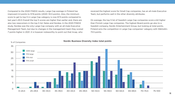Compared to the 2020 FINDIX results, Large Cap average in Finland has improved 2.4 points to 57.8 points (2020: 55.5 points). Also, the minimum score to get to top 5 in Large Cap category is now 67.5 points compared to last year's 65.5 Overall the top 5 scores are higher than earlier and, there are also two newcomers in the top 5 list: Neles and Nordea. In the 2020 FINDIX study, Nordea was the only Large Cap company with an all-male Executive Management Team, but due to changes in the management team they scored 7 points higher in 2021. It is however noteworthy to point out that Incap, who

received the highest score for Small Cap companies, has an all-male Executive Team, but performs well in the other diversity attributes.

On average, the top 5 list of Swedish Large Cap companies score a bit higher than Finnish Large Cap companies. The highest Board points go also to a Swedish company, Nordic Entertainment Group, but looking at total points, Finland wins the competition in Large Cap companies' category with Wärtsilä's 73.5 points.



#### % of Companies Nordic Business Diversity Index total points

**11**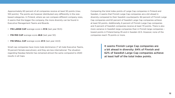Approximately 60 percent of all companies receive at least 50 points (max. 100 points). The points are however distributed very differently in the sizebased categories. In Finland, where we can compare different company sizes, it seems that the bigger the company, the more diversity can be found in Executive Management Teams and Boards.

- **FIN LARGE CAP** average score is **57.8** (last year 55.5)
- **FIN MID CAP** average score **48.8** (last year 50)
- **FIN SMALL CAP** average score **47.3** (last year 44,9)

Small cap companies have more male dominance (7 all male Executive Teams, 19 percent female executives), and they are less international. The situation regarding Nasdaq Helsinki has remained almost the same compared to 2020 results in all Caps.

Comparing the total index points of Large Cap companies in Finland and Sweden, it seems that Finnish Large Cap companies are a bit ahead in diversity compared to their Swedish counterparts: 84 percent of Finnish Large Cap companies and 62 percent of Swedish Large Cap companies achieve at least 50 points. Additionally, 6 percent of Finnish Large Cap companies and 3 percent of Swedish companies receive at least 70 points. There is also more variance in Swedish large companies than in Finnish large companies – lowest points in Finland being 35 and in Sweden 22.5. However, none of the companies reach 75 points or more.

> It seems Finnish Large Cap companies are a bit ahead in diversity: 84% of Finnish and 62% of Swedish Large Cap companies achieve at least half of the total Index points.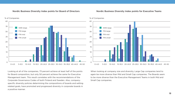#### Nordic Business Diversity Index points for Board of Directors Nordic Business Diversity Index points for Executive Teams





Looking at all of the companies, 73 percent achieve at least half of the points for Board composition, but only 50 percent achieve the same for Executive Management team. This result correlates with the recommendations of the Corporate Governance Codes of both Finland and Sweden. Also, companyspecific diversity policies determining the compositions of boards and setting related goals, have promoted and progressed diversity in corporate boards in a positive manner.

When looking at company size and diversity, Large Cap companies tend to again be more diverse than Mid and Small Cap companies. The Boards seem to be more diverse than the Executive Management Teams in both Mid and Small Cap companies.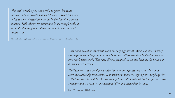*You can't be what you can't see", to quote American lawyer and civil rights activist Marian Wright Edelman. This is why representation in the leadership of businesses matters. Still, diverse representation is not enough without an understanding and implementation of inclusion and antiracism.*

Shadia Rask, PhD, Research Manager, Finnish Institute for Health and Welfare (THL)

*Board and executive leadership team are very significant. We know that diversity can improve team performance, and board as well as executive leadership team is very much team work. The more diverse perspectives we can include, the better our decisions will become.* 

*Furthermore, it is also of great importance to the organisation as a whole that executive leadership team shows commitment to what we expect from everybody else – that we are role models. Our leadership teams ultimately set the tone for the entire company and we need to take accountability and ownership for that.* 

Frank Vang-Jensen, CEO, Nordea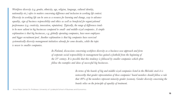*Workforce diversity (e.g. gender, ethnicity, age, religion, language, cultural identity, nationality etc.) refers to matters concerning difference and inclusion in working life context. Diversity in working life can be seen as a resource for learning and change, way to advance equality, sign of business responsibility and ethics as well as beneficial for organizational performance (e.g. creativity, innovation, reputation). Typically, the range of differences tends to be more salient in big businesses compared to small- and middle-sized companies. A simple explanation is that big businesses, e.g. globally operating companies, have more employees and bigger recruitment pool. Another explanation is that big companies have exercised systematically diversity management initiatives already for some decades, while the topic is newer to smaller companies.* 

> *In Finland, discussions concerning workforce diversity as a business-case approach and form of corporate social responsibility in management has gained a foothold from the beginning of the 21st century. It is possible that this tendency is followed by smaller companies which often follow the examples and ideas of successful big businesses.*

> > *In terms of the boards of big and middle-sized companies listed in the Helsinki stock it is noteworthy that gender representation of these companies' board members should follow a rule that 40% of the members represent minority gender (women). Gender diversity concerning the boards relies on the principle of equality of treatment.*

Anna-Maija Lämsä, Dr, Professor, University of Jyväskylä School of Business and Economics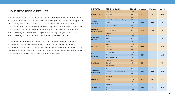#### INDUSTRY-SPECIFIC RESULTS

The industry-specific comparison has been carried out on industries with at least four companies. To be able to include Energy and Utilities to comparison, these categories were combined. The comparison includes all scored companies from Nasdaq Helsinki and Nasdaq Stockholm. Nasdaq Copenhagen companies are not included due to lack of publicly available information. Industry listing is based on Nasdaq Nordic industry categories and thus, industry listing is not comparable with the FINDIX2020 results.

Of all the industries Health Care has the most diverse Executive Teams and Boards with an average score of over 60 points. The Industrials and Technology score lowest, both in average below 50 points. Industrials sector has also the biggest variation of points, as it includes the highest score of all companies and one of the lowest scores in the sample.

| <b>INDUSTRY</b>                          | <b>TOP 3 COMPANIES</b>     | <b>SCORE</b> | average | highest | <b>lowest</b> |  |
|------------------------------------------|----------------------------|--------------|---------|---------|---------------|--|
|                                          | Medicover                  | 70           |         |         |               |  |
| <b>Health Care</b>                       | Attendo                    | 69.5         | 61.1    | 70      | 47.5          |  |
|                                          | Arjo                       | 68.5         |         |         |               |  |
|                                          | Nordic Entertainment Group | 72.5         |         |         |               |  |
| Telecom-<br>munications                  | <b>Nokia</b>               | 71.5         | 56.6    | 72.5    | 35            |  |
|                                          | <b>Telia Company</b>       | 60.5         |         |         |               |  |
|                                          | <b>Neste</b>               | 63.5         |         | 63.5    | 35            |  |
| <b>Energy &amp;</b><br>Utilities (comb.) | <b>Lundin Energy</b>       | 62.5         | 55.5    |         |               |  |
|                                          | Fortum                     | 61           |         |         |               |  |
|                                          | Olvi                       | 60           |         |         |               |  |
| <b>Consumer</b><br><b>Staples</b>        | Altia                      | 59.5         | 52.4    | 60      | 35            |  |
|                                          | Essity                     | 58.5         |         |         |               |  |
|                                          | <b>EQT</b>                 | 70           |         | 70      |               |  |
| <b>Financials</b>                        | <b>Nordea</b>              | 69.5         | 51.3    |         | 32.5          |  |
|                                          | <b>Kinnevik</b>            | 69.5         |         |         |               |  |
|                                          | Marimekko                  | 69           |         |         | 22.5          |  |
| <b>Basic</b><br><b>Materials</b>         | Kemira                     | 62.5         | 50.7    | 69      |               |  |
|                                          | <b>BillerudKorsnäs</b>     | 61           |         |         |               |  |
|                                          | Citycon                    | 68.5         |         | 66      | 35            |  |
| <b>Real Estate</b>                       | Castellum                  | 65.5         | 50.6    |         |               |  |
|                                          | Wallenstam                 | 61           |         |         |               |  |
|                                          | Rovio                      | 69.5         |         |         |               |  |
| <b>Consumer</b><br><b>Discretionary</b>  | Modern Times Group MTG     | 67           | 50.5    | 69.5    | 27.5          |  |
|                                          | Sanoma                     | 65.5         |         |         |               |  |
|                                          | Wärtsilä                   | 73.5         |         |         |               |  |
| <b>Industrials</b>                       | Incap                      | 70           | 49.5    | 73.5    | 27            |  |
|                                          | <b>Neles</b>               | 67.5         |         |         |               |  |
|                                          | <b>Basware</b>             | 60           |         |         |               |  |
| <b>Technology</b>                        | <b>Nixu</b>                | 57.5         | 47.0    | 60      | 37.5          |  |
|                                          | Tecnotree                  | 57           |         |         |               |  |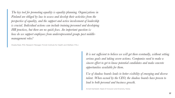*The key tool for promoting equality is equality planning. Organizations in Finland are obliged by law to assess and develop their activities from the perspective of equality, and the support and active involvement of leadership is crucial. Individual actions can include training personnel and developing HR practices, but there are no quick fixes. An important question is: how do we support employees from underrepresented groups past middlemanagement roles?*

Shadia Rask, PhD, Research Manager, Finnish Institute for Health and Welfare (THL)

*It is not sufficient to believe we will get there eventually, without setting serious goals and taking severe actions. Companies need to make a sincere effort to get to know potential candidates and make concrete opportunities available for them.*

*Use of shadow boards leads to better visibility of emerging and diverse talent. When owned by the CEO, the shadow boards have proven to lead to both personal and business growth.*

Anneli Karlstedt, Head of Inclusion and Diversity, Nokia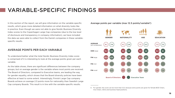### VARIABLE-SPECIFIC FINDINGS

In this section of the report, we will give information on the variable-specific results, which gives more detailed information on what diversity looks like in practice. Even though we were not able to give Nordic Business Diversity Index scores to the Copenhagen Large Cap companies (due to the low level of disclosure and transparency in company information), we have included the data we were able to collect from the Danish companies in these variablespecific results.

#### AVERAGE POINTS PER EACH VARIABLE

To understand better what the total Nordic Business Diversity Index score is comprised of it is interesting to look at the average points given per each variable.

As the table shows, there are significant differences between the company groups, but on average gender is the variable where most points are received. The Board of Directors, compared to Executive teams, are leading the way for gender equality, which shows that the Board diversity policies have been effective at least to some extent. Interestingly, Finnish Large Cap company Boards achieve on average 2.3 points more for nationality than Swedish Large Cap company Boards. This result is in line with the variable-specific results.

Average points per variable (max 12.5 points/variable6)



<sup>6</sup> For gender, the score can be more than 12.5, because extra points are given for female BOD Chairs, Vice Chairs, CEOs and business head positions.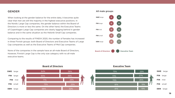#### GENDER

When looking at the gender balance for the entire data, it becomes quite clear that men are still the majority in the highest executive positions. In the Nordic Large Cap companies, the gender balance within the Board of Directors is more or less the same. On the other hand, the Executive Teams of Copenhagen Large Cap companies are clearly lagging behind in gender balance and in the same situation as the Helsinki Small Cap companies.

Comparing to the results of FINDIX 2020, the number of females has increased in three Finnish groups: both Board of Directors and Executive Teams of Large Cap companies as well as the Executive Teams of Mid Cap companies.

None of the companies in the sample have an all-male Board of Directors, However, Finnish Large Cap is the only size category with no all-male executive teams.



#### All male groups



#### **Board of Directors Executive Team**

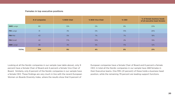#### Females in top executive positions

|                  | # of companies | % BOD Chair | % BOD Vice-Chair | % CEO | % of female business heads<br>of all executive team females |
|------------------|----------------|-------------|------------------|-------|-------------------------------------------------------------|
| <b>SWE</b> Large | 90             | 12%         | 0%               | 8%    | 23%                                                         |
| <b>FIN</b> Large | 31             | 3%          | 0%               | 13%   | 26%                                                         |
| <b>FIN Mid</b>   | 43             | 5%          | 7%               | 7%    | 18%                                                         |
| <b>FIN Small</b> | 42             | 17%         | 10%              | 2%    | 15%                                                         |
| <b>DEN</b> Large | 38             | 3%          | 5%               | 11%   | 12%                                                         |
| <b>TOTAL</b>     | 244            | 9%          | 4%               | 8%    | 21%                                                         |

Looking at all the Nordic companies in our sample (see table above), only 9 percent have a female Chair of Board and 4 percent a female Vice Chair of Board. Similarly, only 8 percent of the Nordic companies in our sample have a female CEO. These findings are very much in line with the recent European Women on Boards Diversity Index, where the results show that 9 percent of

European companies have a female Chair of Board and 6 percent a female CEO. In total all the Nordic companies in our sample have 468 females in their Executive teams. One fifth (21 percent) of these holds a business head position, while the remaining 79 percent are leading support functions.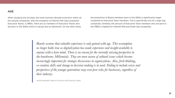#### AGE

When studying the full data, the most common decade to be born within all the sample companies, with the exception of Helsinki Mid Cap companies' Executive Teams, is 1960s. There are no members of Executive Teams who are born in the 1940s which is natural due to retirement. On the other hand,

the proportion of Board members born in the 1950s is significantly larger compared to Executive Team members. This is specifically true for Large Cap companies. Similarly, the amount of Executive Team members who are born in the 1980s is highest for Helsinki Mid and Small Cap companies.

*Boards assume that valuable experience is only gained with age. This assumption no longer holds true as digitalization has made experience and insight available to anyone with a keen mind. There is no reason for the currently missing perspective in the boardroom: Millennials. They are more aware of cultural issues which become increasingly important for strategic discussions in organizations. Also, fresh thinking, co-creation skills and change in decision-making is in need. Failing to include voices and perspectives of the younger generations may even pose risks for businesses, regardless of their industry.*

Anneli Karlstedt, Head of Inclusion and Diversity, Nokia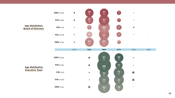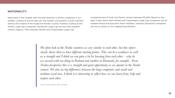#### NATIONALITY

Nationality is the variable with the least diversity in all the companies in our sample. Looking at the full data set, the number one position is quite naturally held by the citizens of the respective Nordic country. However, looking at the Nordic Large Cap companies, Stockholm Large Cap has the most Swedish citizens (approx. 70%) whereas Helsinki and Copenhagen Large Cap

companies have Finnish and Danish citizens between 60-65%. Based on the data, it also seems that Helsinki and Copenhagen Large Cap companies rely on Swedish Board and Executive Team members, whereas Stockholm companies are not so reliant on the neighbouring Nordics.

*We often look at the Nordic countries as very similar to each other, but this report clearly shows that we have different starting points. This can be a weakness as well as a strength and I think we can gain a lot by learning from each other – why do we succeed with one thing in Finland and another in Denmark, for example. From Nordea perspective this is a strength and great opportunity as we operate in the Nordic context. We also see big differences between the large companies and small and medium-sized ones. I think it is interesting to reflect how we can learn from, help and inspire each other.*

Frank Vang-Jensen, CEO, Nordea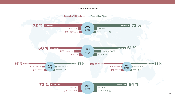#### TOP 3 nationalities

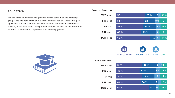#### EDUCATION

The top three educational backgrounds are the same in all the company groups, and the dominance of business administration qualification is quite significant. It is however noteworthy to mention that there is nevertheless diversity in the educational backgrounds of top executives as the proportion of "other" is between 10-16 percent in all company groups.



#### **Board of Directors**

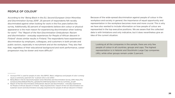#### PEOPLE OF COLOUR7

According to the "*Being Black in the EU, Second European Union Minorities and Discrimination Survey 2019*", 25 percent of respondents felt racially discriminated against when looking for work in the five years before the survey. Additionally, 82 percent of respondents believe skin colour or physical appearance is the main reason for experiencing discrimination when looking for work.8 The "*Report of the Non-Discrimination Ombudsman: Racism and discrimination - everyday experiences for People of African descent in Finland*" shows similar results in Finland. The respondents have experienced discrimination by employers, colleagues, and customers in both private and public sectors, especially in recruitment and at the workplace. They also feel that, regardless of their educational background and work performance, career progression may be slower and more difficult.9

Because of the wide-spread discrimination against people of colour in the workplace and society in general, the importance of equal opportunity and representation in the workplace becomes more and more crucial. This is why we have also wanted to include information on how people of colour are represented in the top executive positions. We are aware that the collected data is with limitations and only indicative, but it does nevertheless give an idea of the current situation.

Looking at all the companies in the sample, there are only few people of colour in all countries, groups and caps. The highest representation is in Helsinki and Stockholm Large Cap companies (4%), while other groups remain under 2 percent.

<sup>7</sup> Acronym POC is used for people of color. Also BIPOC, Black, Indigenous and people of color is emerging as a commonly used term for "a person who is not white".

<sup>8</sup> Being Black in the EU Second European Union Minorities and Discrimination Survey, 2019. https://fra. europa.eu/sites/default/files/fra\_uploads/fra-2019-being-black-in-the-eu-summary\_en.pdf

<sup>9</sup> Report of the Non-Discrimination Ombudsman: Racism and discrimination - everyday experiences for People of African descent in Finland. https://syrjinta.fi/en/-/report-of-the-non-discrimination-ombudsman-racism-and-discrimination-everyday-experiences-for-people-of-african-descent-in-finland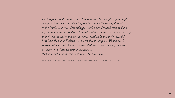*I'm happy to see this wider context to diversity. The sample size is ample enough to provide us an interesting comparison on the state of diversity in the Nordic countries. Interestingly, Sweden and Finland seem to share information more openly than Denmark and have more educational diversity in their boards and management teams. Swedish boards prefer Swedish board members and Finland sees most value in lawyers. All and all, it is essential across all Nordic countries that we ensure women gain early exposure to business leadership positions so that they will have the right experience for board roles.*

Päivi Jokinen, Chair, European Women on Boards / Board member, Board Professionals Finland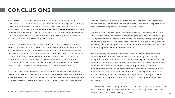### **CONCLUSIONS**

In the FINDIX 2020 report we concluded that executive management positions of companies listed in Nasdaq Helsinki are very likely held by Finnish males born in the 1960s and with a degree in Business Administration and Economics. The results of this first **Nordic Business Diversity Index** portray the same picture. Leadership positions continue to be predominantly held by men, born in the 1960s with a degree in Business Administration and Economics, and being citizens of the company's HQ country.

This observation is unfortunately not surprising, but it is still quite alarming. Nordic countries are often cited to be forerunners in gender equality, but in 2021 we are in a situation where only 8 percent of companies have a female CEO. We also seem to be short-sighted and not able to grasp the importance of attracting foreign talent even the ones who already live in the Nordics. A recent study from Finland also paints a worrisome picture of the age discrimination women face in recruitment: women are either too young or have too many small children, and then at 50 they are already too old<sup>10</sup>.

To tackle these issues, we within the wider society as well as in workplaces need to start asking ourselves how? How to make leadership positions more attractive to women? How will people of colour or people with a foreign name face less intersectional discrimination in recruitment? How can Millenials be

seen as an innovative asset in leadership? Only after honest self-reflection we can start to take down the existing barriers, which make it impossible for under-represented people to advance in organisations.

Representation is crucial when we aim for diversity. When leadership in our societies and companies reflect diverse backgrounds, we send the message that opportunity and success is not limited to a closed, homogenous group. Additionally, representation empowers those who have traditionally been left voiceless, and it encourages all of us to encounter our unconscious biases and learn about people who are different from us.

While collecting the data for the Index, it became clear, that Finnish and Swedish companies have a similar level of transparency in disclosing background information about their senior leadership. In Denmark, however, companies seem to disclose far less information and thus, Danish companies could not be scored for the Index. It would require more research to understand the reasons behind this different approach in Denmark, but we hope that this study underlines the importance of transparency as well as acts as encouragement to all companies, regardless of country, to ensure that sufficient background information about top management is publicly disclosed.

The Nordic Business Diversity index will be published every two years and we have our hopes up that results will be different in January 2023. Now, let's all roll our sleeves and begin walking the talk!

<sup>10</sup> Akavan Erityisalojen työelämätutkimus 2020: rekrytointisyrjintää koskevia tuloksia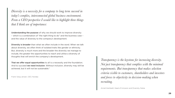*Diversity is a necessity for a company to long term succeed in today's complex, interconnected global business environment. From a CEO perspective I would like to highlight three things that I think are of importance:*

Understanding the purpose of why we should work to improve diversity – which is a combination of "the right thing to do" and the business case – and the value of diversity to the company's development.

Diversity is broader than what we often include in the word. When we talk about diversity, we often think of isolated traits like gender or ethnicity. But, diversity is much more and the broader the diversity we manage to include, the greater the opportunities to reach and utilise a diversity of thoughts that will enrich the company's development.

That we offer equal opportunities to all is a necessity and the foundation. And to succeed we need inclusion. Without inclusion, diversity may still be achieved, but it will not be sustainable."

Frank Vang-Jensen, CEO, Nordea

*Transparency is the keystone for increasing diversity. Not just transparency that complies with the minimal requirements. But transparency that makes selection criteria visible to customers, shareholders and investors and forces to objectivity in decision-making when recruiting.* 

Anneli Karlstedt, Head of Inclusion and Diversity, Nokia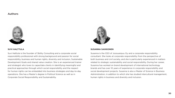#### Authors



#### **SUVI HALTTULA**

Suvi Halttula is the founder of 3bility Consulting and a corporate social responsibility professional with strong background and passion for social responsibility, business and human rights, diversity and inclusion, Sustainable Development Goals and shared value creation. She is an experienced trainer and strategist who loves to capacitate clients in identifying meaningful and practical approaches through which social responsibility and the respect for human rights can be embedded into business strategies and day-to-day operations. She has a Master's degree in Political Science as well as in Corporate Social Responsibility and Sustainability.



#### **SUSANNA SAIKKONEN**

Susanna is the CEO of Joosuanpuu Oy and a corporate responsibility consultant. She looks at corporate responsibility from the perspective of both business and civil society, and she is particularly experienced in matters related to strategic sustainability and social responsibility. During her career, Susanna has worked on brand development of international technology brands and has over 10 years of experience in corporate responsibility and social development projects. Susanna is also a Master of Science in Business Administration, in addition to which she has studied intercultural management, human rights in business and diversity and inclusion.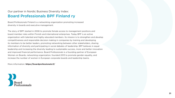### Our partner in Nordic Business Diversity Index: Board Professionals BPF Finland ry

Board Professionals Finland is a networking organization promoting increased diversity in boards and executive management.

The story of BPF started in 2006 to promote female access to management positions and board member roles within Finnish and international enterprises. Today BPF is an active organization with talented and highly educated members. Its mission is to strengthen and develop competitiveness and responsible decision making in companies by training and developing its members to be better leaders, promoting networking between other stakeholders, sharing information of diversity and participating in social debates of leadership. BPF believes in equal leadership and increasing the diversity leading to sustainable success, more and better innovation and improved financial performance. Board Professionals is a founding partner of European Women on Boards, networking organization, founded 2013 to promote gender equality, and increase the number of women in European corporate boards and leadership teams.

More information: **https://boardprofessionals.fi/** 

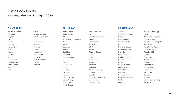#### LIST OF COMPANIES As categorised at Nasdaq in 2020

#### **FIN LARGE CAP**

| Ahlstrom-Munksjö |
|------------------|
| Cargotec         |
| Citycon          |
| Flisa            |
| Fiskars          |
| Fortum           |
| Huhtamäki        |
| Kemira           |
| Kesko            |
| Kojamo           |
| Kone             |
| Konecranes       |
| Metso Outotec    |
| Metsä Board      |
| Neles            |
| Neste            |
|                  |

Nokia Nokian Renkaat Nordea Bank Abp Orion Outokumpu Sampo Sanoma SSAB Stora Enso Terveystalo TietoEVRY UPM-Kymmene Valmet Wärtsilä YIT

#### **FIN MID CAP**

Aktia Pankki Alma Media Altia AS Tallink Grupp FDR Aspo Atria Basware Bittium CapMan Caverion Enento Group eQ Etteplan Evli Pankki Finnair F-Secure HKScan Kamux Lassila & Tikanoja Lehto Group Marimekko Musti Group

NoHo Partners Olvi Oma Säästöpankki Oriola Pihlajalinna Ponsse Qt Group Raisio Revenio Group Rovio Scanfil Stockmann Taaleri Talenom Tikkurila Tokmanni Group Uponor Vaisala Verkkokauppa.com Oyj Viking Line Ålandsbanken

#### **FIN SMALL CAP**

Apetit Aspocomp Group Biohit Componenta Consti Yhtiöt Digia Digitalist Group EAB Group Oyj Eezy Oyj Enedo Oyj Exel Composites Glaston Harvia Honkarakenne Ilkka-Yhtymä Incap Oyj Innofactor Investors House Keskisuomalainen Kesla Martela

Neo Industrial Oyj Nixu Nurminen Logistics Optomed Oyj Ovaro Kiinteistösijoitus Panostaja PunaMusta Media QPR Software Rapala VMC Raute Saga Furs Siili Solutions **Solteg** Soprano Oyj SRV-Yhtiöt Suominen **Tecnotree** Teleste Tulikivi United Bankers Oyj Wulff Group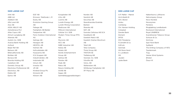#### **SWE LARGE CAP**

#### AAK AB ABB Ltd Addtech AB Alfa Laval AB Ario AB ASSA ABLOY AB AstraZeneca PLC Atlas Copco AB Atrium Ljungberg AB Attendo AB Autoliv Inc. SDB Avanza Bank Holding AB Axfood Beijer Ref AB Betsson AB BillerudKorsnäs AB Boliden AB Bonava AB Bravida Holding AB Castellum AB Dometic Group AB Electrolux Professional AB Electrolux, AB Elekta AB Epiroc AB

EQT AB Ericsson, Telefonab. L M Essity AB Evolution Gaming Group AB Fabege AB Fastighets AB Balder Fastpartner AB Fenix Outdoor International AG Getinge AB Hexagon AB HEXPOL AB Holmen AB Hufvudstaden AB Husqvarna AB ICA Gruppen AB Industrivärden, AB Indutrade AB Intrum AB Investor AB JM AB Kindred Group Plc Kinnevik AB Klövern AB

Kungsleden AB Lifco AB Loomis AB Lundin Energy AB Lundin Mining Corporation Medicover AB Millicom International Cellular S.A. SDB Modern Times Group MTG AB Mycronic AB NCC AB NIBE Industrier AB Nobia AB Nolato AB Nordic Entertainment Group AB Nyfosa AB Pandox AB Peab AB Ratos AB Resurs Holding AB SAAB AB Sagax AB Samhällsbyggnadsbolaget i Norden AB Sandvik AB Securitas AB Skandinaviska Enskilda Banken Skanska AB SKF, AB Svenska Cellulosa AB SCA Swedbank AB Swedish Match AB Swedish Orphan Biovitrum AB Tele2 AB Telia Company Thule Group AB TRATON SE Trelleborg AB Veoneer, Inc. SDB Vitrolife AB Volvo, AB Wallenstam AB Wihlborgs Fastigheter AB ÅF Pöyry AB

#### **DEN LARGE CAP**

A.P. Møller - Mærsk ALK-Abelló B Alm. Brand Ambu Carlsberg Chr. Hansen Holding Coloplast Danske Bank Demant DFDS DSV Panalpina FLSmidth & Co. G4S plc Genmab GN Store Nord H. Lundbeck ISS Jeudan Jyske Bank

Københavns Lufthavne Netcompany Group Novo Nordisk Novozymes Pandora Ringkjøbing Landbobank Rockwool International Royal UNIBREW Scandinavian Tobacco Group Schouw & Co. SimCorp Spar Nord Bank Sydbank The Drilling Company of 1972 Topdanmark Tryg Vestas Wind Systems Ørsted Össur hf.